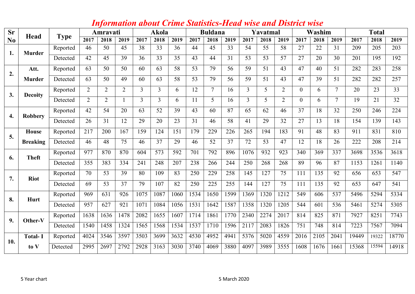| <b>Sr</b>      | Head                       | <b>Type</b> | Amravati       |                |                | Akola          |                | <b>Buldana</b> |      | Yavatmal       |      | Washim         |      | <b>Total</b>   |                |      |                |       |       |       |
|----------------|----------------------------|-------------|----------------|----------------|----------------|----------------|----------------|----------------|------|----------------|------|----------------|------|----------------|----------------|------|----------------|-------|-------|-------|
| N <sub>0</sub> |                            |             | 2017           | 2018           | 2019           | 2017           | 2018           | 2019           | 2017 | 2018           | 2019 | 2017           | 2018 | 2019           | 2017           | 2018 | 2019           | 2017  | 2018  | 2019  |
| 1.             | <b>Murder</b>              | Reported    | 46             | 50             | 45             | 38             | 33             | 36             | 44   | 45             | 33   | 54             | 55   | 58             | 27             | 22   | 31             | 209   | 205   | 203   |
|                |                            | Detected    | 42             | 45             | 39             | 36             | 33             | 35             | 43   | 44             | 31   | 53             | 53   | 57             | 27             | 20   | 30             | 201   | 195   | 192   |
| 2.             | Att.                       | Reported    | 63             | 50             | 50             | 60             | 63             | 58             | 53   | 79             | 56   | 59             | 51   | 43             | 47             | 40   | 51             | 282   | 283   | 258   |
|                | <b>Murder</b>              | Detected    | 63             | 50             | 49             | 60             | 63             | 58             | 53   | 79             | 56   | 59             | 51   | 43             | 47             | 39   | 51             | 282   | 282   | 257   |
| 3.             | <b>Decoity</b>             | Reported    | $\overline{2}$ | $\overline{2}$ | $\overline{2}$ | $\overline{3}$ | $\overline{3}$ | 6              | 12   | $\overline{7}$ | 16   | $\overline{3}$ | 5    | 2              | $\overline{0}$ | 6    | $\tau$         | 20    | 23    | 33    |
|                |                            | Detected    | $\overline{2}$ | $\overline{2}$ |                | $\overline{3}$ | $\overline{3}$ | 6              | 11   | 5              | 16   | $\overline{3}$ | 5    | $\overline{2}$ | $\overline{0}$ | 6    | $\overline{7}$ | 19    | 21    | 32    |
| 4.             | Reported<br><b>Robbery</b> | 42          | 54             | 20             | 63             | 52             | 39             | 43             | 60   | 87             | 65   | 62             | 46   | 37             | 18             | 32   | 250            | 246   | 224   |       |
|                |                            | Detected    | 26             | 31             | 12             | 29             | 20             | 23             | 31   | 46             | 58   | 41             | 29   | 32             | 27             | 13   | 18             | 154   | 139   | 143   |
| 5.             | House                      | Reported    | 217            | 200            | 167            | 159            | 124            | 151            | 179  | 229            | 226  | 265            | 194  | 183            | 91             | 48   | 83             | 911   | 831   | 810   |
|                | <b>Breaking</b>            | Detected    | 46             | 48             | 75             | 46             | 37             | 29             | 46   | 52             | 37   | 72             | 53   | 47             | 12             | 18   | 26             | 222   | 208   | 214   |
| 6.             | <b>Theft</b>               | Reported    | 977            | 870            | 870            | 604            | 573            | 592            | 701  | 792            | 896  | 1076           | 932  | 923            | 340            | 369  | 337            | 3698  | 3536  | 3618  |
|                |                            | Detected    | 355            | 383            | 334            | 241            | 248            | 207            | 238  | 266            | 244  | 250            | 268  | 268            | 89             | 96   | 87             | 1153  | 1261  | 1140  |
| 7.             | <b>Riot</b>                | Reported    | 70             | 53             | 39             | 80             | 109            | 83             | 250  | 229            | 258  | 145            | 127  | 75             | 111            | 135  | 92             | 656   | 653   | 547   |
|                |                            | Detected    | 69             | 53             | 37             | 79             | 107            | 82             | 250  | 225            | 255  | 144            | 127  | 75             | 111            | 135  | 92             | 653   | 647   | 541   |
| 8.             | Hurt                       | Reported    | 969            | 631            | 926            | 1075           | 1087           | 1060           | 1534 | 1650           | 1599 | 1369           | 1320 | 1212           | 549            | 606  | 537            | 5496  | 5294  | 5334  |
|                |                            | Detected    | 957            | 627            | 921            | 1071           | 1084           | 1056           | 1531 | 1642           | 1587 | 1358           | 1320 | 1205           | 544            | 601  | 536            | 5461  | 5274  | 5305  |
| 9.             | Other-V                    | Reported    | 1638           | 1636           | 1478           | 2082           | 1655           | 1607           | 1714 | 1861           | 1770 | 2340           | 2274 | 2017           | 814            | 825  | 871            | 7927  | 8251  | 7743  |
|                |                            | Detected    | 1540           | 1458           | 1324           | 1565           | 1568           | 1534           | 1537 | 1710           | 1596 | 2117           | 2083 | 1826           | 751            | 748  | 814            | 7223  | 7567  | 7094  |
| 10.            | <b>Total-I</b>             | Reported    | 4024           | 3546           | 3597           | 3503           | 3699           | 3632           | 4530 | 4952           | 4941 | 5376           | 5020 | 4559           | 2016           | 2105 | 2041           | 19449 | 19322 | 18770 |
|                | to V                       | Detected    | 2995           | 2697           | 2792           | 2928           | 3163           | 3030           | 3740 | 4069           | 3880 | 4097           | 3989 | 3555           | 1608           | 1676 | 1661           | 15368 | 15594 | 14918 |

## *Information about Crime Statistics-Head wise and District wise*